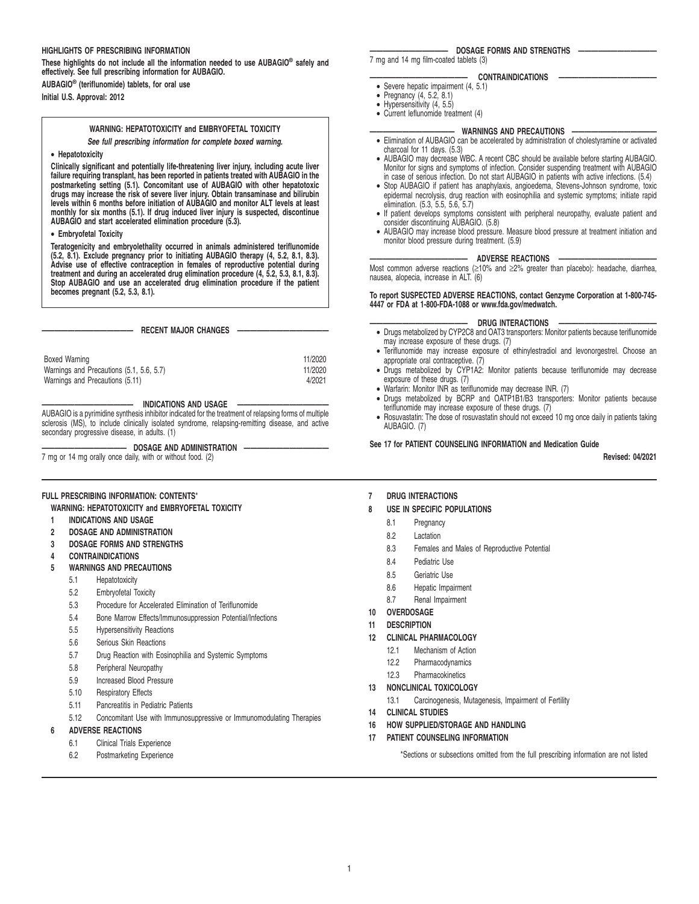### **HIGHLIGHTS OF PRESCRIBING INFORMATION**

**These highlights do not include all the information needed to use AUBAGIO® safely and effectively. See full prescribing information for AUBAGIO.**

**AUBAGIO® (teriflunomide) tablets, for oral use Initial U.S. Approval: 2012**

# **WARNING: HEPATOTOXICITY and EMBRYOFETAL TOXICITY**

# **See full prescribing information for complete boxed warning.**

• **Hepatotoxicity**

**Clinically significant and potentially life-threatening liver injury, including acute liver failure requiring transplant, has been reported in patients treated with AUBAGIO in the** postmarketing setting (5.1). Concomitant use of AUBAGIO with other hepatotoxic<br>drugs may increase the risk of severe liver injury. Obtain transaminase and bilirubin<br>levels within 6 months before initiation of AUBAGIO and m **monthly for six months (5.1). If drug induced liver injury is suspected, discontinue AUBAGIO and start accelerated elimination procedure (5.3).**

### • **Embryofetal Toxicity**

**Teratogenicity and embryolethality occurred in animals administered teriflunomide (5.2, 8.1). Exclude pregnancy prior to initiating AUBAGIO therapy (4, 5.2, 8.1, 8.3). Advise use of effective contraception in females of reproductive potential during treatment and during an accelerated drug elimination procedure (4, 5.2, 5.3, 8.1, 8.3). Stop AUBAGIO and use an accelerated drug elimination procedure if the patient becomes pregnant (5.2, 5.3, 8.1).**

**—————————————— RECENT MAJOR CHANGES ——————————————** Boxed Warning 11/2020<br>Warnings and Precautions (5.1, 5.6, 5.7) [11/2020 11/2020 Warnings and Precautions (5.1, 5.6, 5.7)<br>Warnings and Precautions (5.11) 11/2020 Warnings and Precautions (5.11)

**—————————————— INDICATIONS AND USAGE ——————————————**

AUBAGIO is a pyrimidine synthesis inhibitor indicated for the treatment of relapsing forms of multiple sclerosis (MS), to include clinically isolated syndrome, relapsing-remitting disease, and active secondary progressive disease, in adults. (1)

**————————————— DOSAGE AND ADMINISTRATION —————————————**

7 mg or 14 mg orally once daily, with or without food. (2)

### **FULL PRESCRIBING INFORMATION: CONTENTS**\*

- **WARNING: HEPATOTOXICITY and EMBRYOFETAL TOXICITY**
- **1 INDICATIONS AND USAGE**
- **2 DOSAGE AND ADMINISTRATION**
- **3 DOSAGE FORMS AND STRENGTHS**
- **4 CONTRAINDICATIONS**
- **5 WARNINGS AND PRECAUTIONS**
	- 5.1 Hepatotoxicity
	- 5.2 Embryofetal Toxicity
	- 5.3 Procedure for Accelerated Elimination of Teriflunomide
	- 5.4 Bone Marrow Effects/Immunosuppression Potential/Infections
	- 5.5 Hypersensitivity Reactions
	- 5.6 Serious Skin Reactions
	- 5.7 Drug Reaction with Eosinophilia and Systemic Symptoms
	- 5.8 Peripheral Neuropathy
	- 5.9 Increased Blood Pressure
	- 5.10 Respiratory Effects
	- 5.11 Pancreatitis in Pediatric Patients
	- 5.12 Concomitant Use with Immunosuppressive or Immunomodulating Therapies

### **6 ADVERSE REACTIONS**

- 6.1 Clinical Trials Experience
- 6.2 Postmarketing Experience

### DOSAGE FORMS AND STRENGTHS

7 mg and 14 mg film-coated tablets (3)

# $-$  **CONTRAINDICATIONS**

- Severe hepatic impairment (4, 5.1)
- Pregnancy (4, 5.2, 8.1)
- Hypersensitivity (4, 5.5) • Current leflunomide treatment (4)
	-

### **WARNINGS AND PRECAUTIONS -**

- Elimination of AUBAGIO can be accelerated by administration of cholestyramine or activated charcoal for 11 days. (5.3)
- AUBAGIO may decrease WBC. A recent CBC should be available before starting AUBAGIO.<br>Monitor for signs and symptoms of infection. Consider suspending treatment with AUBAGIO<br>in case of serious infection. Do not start AUBAG
- Stop AUBAGIO if patient has anaphylaxis, angioedema, Stevens-Johnson syndrome, toxic epidermal necrolysis, drug reaction with eosinophilia and systemic symptoms; initiate rapid elimination. (5.3, 5.5, 5.6, 5.7)
- If patient develops symptoms consistent with peripheral neuropathy, evaluate patient and consider discontinuing AUBAGIO. (5.8)
- AUBAGIO may increase blood pressure. Measure blood pressure at treatment initiation and monitor blood pressure during treatment. (5.9)

### ADVERSE REACTIONS -

Most common adverse reactions (≥10% and ≥2% greater than placebo): headache, diarrhea, nausea, alopecia, increase in ALT. (6)

### **To report SUSPECTED ADVERSE REACTIONS, contact Genzyme Corporation at 1-800-745- 4447 or FDA at 1-800-FDA-1088 or www.fda.gov/medwatch.**

- **——————————————— DRUG INTERACTIONS ———————————————** Drugs metabolized by CYP2C8 and OAT3 transporters: Monitor patients because teriflunomide may increase exposure of these drugs. (7)
- Teriflunomide may increase exposure of ethinylestradiol and levonorgestrel. Choose an appropriate oral contraceptive. (7)
- Drugs metabolized by CYP1A2: Monitor patients because teriflunomide may decrease exposure of these drugs. (7)
- Warfarin: Monitor INR as teriflunomide may decrease INR. (7)
- Drugs metabolized by BCRP and OATP1B1/B3 transporters: Monitor patients because teriflunomide may increase exposure of these drugs. (7) • Rosuvastatin: The dose of rosuvastatin should not exceed 10 mg once daily in patients taking
- AUBAGIO. (7)

### **See 17 for PATIENT COUNSELING INFORMATION and Medication Guide**

**Revised: 04/2021**

### **7 DRUG INTERACTIONS**

### **8 USE IN SPECIFIC POPULATIONS**

- 8.1 Pregnancy
- 8.2 Lactation
- 8.3 Females and Males of Reproductive Potential
- 8.4 Pediatric Use
- 8.5 Geriatric Use
- 8.6 Hepatic Impairment
- 8.7 Renal Impairment
- **10 OVERDOSAGE**
- **11 DESCRIPTION**
- **12 CLINICAL PHARMACOLOGY**
	- 12.1 Mechanism of Action
	- 12.2 Pharmacodynamics
	- 12.3 Pharmacokinetics

### **13 NONCLINICAL TOXICOLOGY**

- 13.1 Carcinogenesis, Mutagenesis, Impairment of Fertility
- **14 CLINICAL STUDIES**
- **16 HOW SUPPLIED/STORAGE AND HANDLING**
- **17 PATIENT COUNSELING INFORMATION**

\*Sections or subsections omitted from the full prescribing information are not listed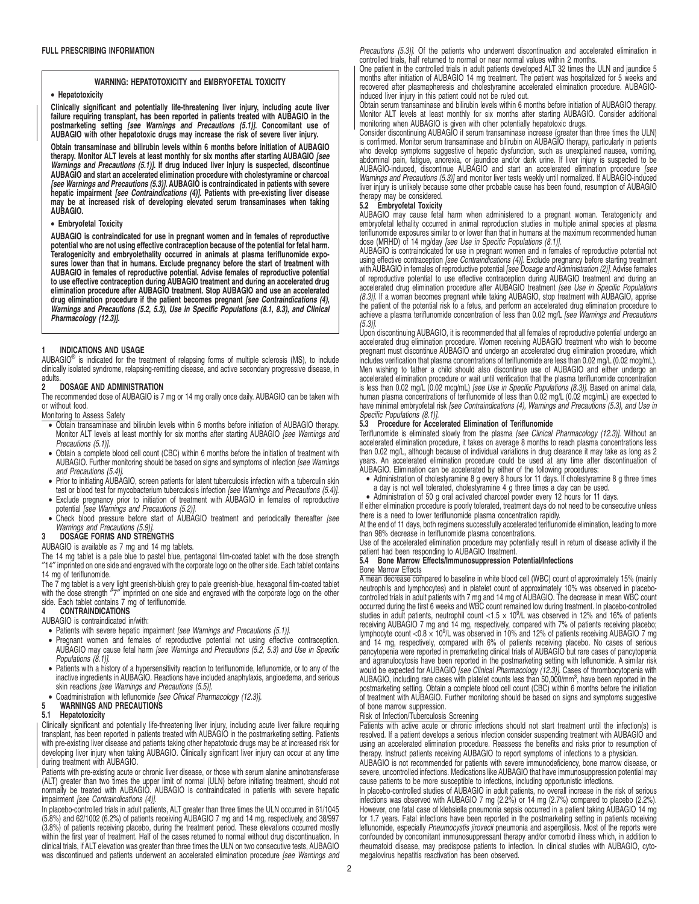### **WARNING: HEPATOTOXICITY and EMBRYOFETAL TOXICITY**

### • **Hepatotoxicity**

**Clinically significant and potentially life-threatening liver injury, including acute liver failure requiring transplant, has been reported in patients treated with AUBAGIO in the postmarketing setting [see Warnings and Precautions (5.1)]. Concomitant use of AUBAGIO with other hepatotoxic drugs may increase the risk of severe liver injury.**

**Obtain transaminase and bilirubin levels within 6 months before initiation of AUBAGIO therapy. Monitor ALT levels at least monthly for six months after starting AUBAGIO [see Warnings and Precautions (5.1)]. If drug induced liver injury is suspected, discontinue AUBAGIO and start an accelerated elimination procedure with cholestyramine or charcoal [see Warnings and Precautions (5.3)]. AUBAGIO is contraindicated in patients with severe hepatic impairment [see Contraindications (4)]. Patients with pre-existing liver disease may be at increased risk of developing elevated serum transaminases when taking AUBAGIO.**

### • **Embryofetal Toxicity**

**AUBAGIO is contraindicated for use in pregnant women and in females of reproductive potential who are not using effective contraception because of the potential for fetal harm.** Teratogenicity and embryolethality occurred in animals at plasma teriflunomide expo-<br>sures lower than that in humans. Exclude pregnancy before the start of treatment with<br>AUBAGIO in females of reproductive potential. Advis **to use effective contraception during AUBAGIO treatment and during an accelerated drug elimination procedure after AUBAGIO treatment. Stop AUBAGIO and use an accelerated drug elimination procedure if the patient becomes pregnant [see Contraindications (4), Warnings and Precautions (5.2, 5.3), Use in Specific Populations (8.1, 8.3), and Clinical Pharmacology (12.3)].**

### **1 INDICATIONS AND USAGE**

AUBAGIO<sup>®</sup> is indicated for the treatment of relapsing forms of multiple sclerosis (MS), to include clinically isolated syndrome, relapsing-remitting disease, and active secondary progressive disease, in

### adults. **2 DOSAGE AND ADMINISTRATION**

The recommended dose of AUBAGIO is 7 mg or 14 mg orally once daily. AUBAGIO can be taken with or without food.

Monitoring to Assess Safety

- Obtain transaminase and bilirubin levels within 6 months before initiation of AUBAGIO therapy. Monitor ALT levels at least monthly for six months after starting AUBAGIO [see Warnings and Precautions (5.1)].
- Obtain a complete blood cell count (CBC) within 6 months before the initiation of treatment with AUBAGIO. Further monitoring should be based on signs and symptoms of infection [see Warnings and Precautions (5.4)].
- Prior to initiating AUBAGIO, screen patients for latent tuberculosis infection with a tuberculin skin test or blood test for mycobacterium tuberculosis infection [see Warnings and Precautions (5.4)].
- Exclude pregnancy prior to initiation of treatment with AUBAGIO in females of reproductive potential [see Warnings and Precautions (5.2)].
- Check blood pressure before start of AUBAGIO treatment and periodically thereafter [see Warnings and Precautions (5.9)].

### **3 DOSAGE FORMS AND STRENGTHS**

# AUBAGIO is available as 7 mg and 14 mg tablets.

The 14 mg tablet is a pale blue to pastel blue, pentagonal film-coated tablet with the dose strength ″14″ imprinted on one side and engraved with the corporate logo on the other side. Each tablet contains 14 mg of teriflunomide.

The 7 mg tablet is a very light greenish-bluish grey to pale greenish-blue, hexagonal film-coated tablet with the dose strength ″7″ imprinted on one side and engraved with the corporate logo on the other side. Each tablet contains 7 mg of teriflunomide.

## **4 CONTRAINDICATIONS**

AUBAGIO is contraindicated in/with:

• Patients with severe hepatic impairment [see Warnings and Precautions (5.1)].

- Pregnant women and females of reproductive potential not using effective contraception.<br>AUBAGIO may cause fetal harm [see Warnings and Precautions (5.2, 5.3) and Use in Specific Populations (8.1)].
- Patients with a history of a hypersensitivity reaction to teriflunomide, leflunomide, or to any of the inactive ingredients in AUBAGIO. Reactions have included anaphylaxis, angioedema, and serious skin reactions [see Warnings and Precautions (5.5)].
- Coadministration with leflunomide [see Clinical Pharmacology (12.3)]. **5 WARNINGS AND PRECAUTIONS**

### **5.1 Hepatotoxicity**

Clinically significant and potentially life-threatening liver injury, including acute liver failure requiring transplant, has been reported in patients treated with AUBAGIO in the postmarketing setting. Patients with pre-existing liver disease and patients taking other hepatotoxic drugs may be at increased risk for developing liver injury when taking AUBAGIO. Clinically significant liver injury can occur at any time during treatment with AUBAGIO.

Patients with pre-existing acute or chronic liver disease, or those with serum alanine aminotransferase (ALT) greater than two times the upper limit of normal (ULN) before initiating treatment, should not normally be treated with AUBAGIO. AUBAGIO is contraindicated in patients with severe hepatic impairment [see Contraindications (4)].

In placebo-controlled trials in adult patients, ALT greater than three times the ULN occurred in 61/1045 (5.8%) and 62/1002 (6.2%) of patients receiving AUBAGIO 7 mg and 14 mg, respectively, and 38/997 (3.8%) of patients receiving placebo, during the treatment period. These elevations occurred mostly within the first year of treatment. Half of the cases returned to normal without drug discontinuation. In clinical trials, if ALT elevation was greater than three times the ULN on two consecutive tests, AUBAGIO was discontinued and patients underwent an accelerated elimination procedure [see Warnings and Precautions (5.3)]. Of the patients who underwent discontinuation and accelerated elimination in controlled trials, half returned to normal or near normal values within 2 months.

One patient in the controlled trials in adult patients developed ALT 32 times the ULN and jaundice 5 months after initiation of AUBAGIO 14 mg treatment. The patient was hospitalized for 5 weeks and recovered after plasmapheresis and cholestyramine accelerated elimination procedure. AUBAGIOinduced liver injury in this patient could not be ruled out.

Obtain serum transaminase and bilirubin levels within 6 months before initiation of AUBAGIO therapy. Monitor ALT levels at least monthly for six months after starting AUBAGIO. Consider additional

monitoring when AUBAGIO is given with other potentially hepatotoxic drugs. Consider discontinuing AUBAGIO if serum transaminase increase (greater than three times the ULN) is confirmed. Monitor serum transaminase and bilirubin on AUBAGIO therapy, particularly in patients who develop symptoms suggestive of hepatic dysfunction, such as unexplained nausea, vomiting, abdominal pain, fatigue, anorexia, or jaundice and/or dark urine. If liver injury is suspected to be AUBAGIO-induced, discontinue AUBAGIO and start an accelerated elimination procedure [see Warnings and Precautions (5.3)] and monitor liver tests weekly until normalized. If AUBAGIO-induced liver injury is unlikely because some other probable cause has been found, resumption of AUBAGIO therapy may be considered.

### **5.2 Embryofetal Toxicity**

AUBAGIO may cause fetal harm when administered to a pregnant woman. Teratogenicity and embryofetal lethality occurred in animal reproduction studies in multiple animal species at plasma teriflunomide exposures similar to or lower than that in humans at the maximum recommended human<br>dose (MRHD) of 14 mg/day *[see Use in Specific Populations (8.1)]*.

AUBAGIO is contraindicated for use in pregnant women and in females of reproductive potential not<br>using effective contraception *[see Contraindications (4)]*. Exclude pregnancy before starting treatment with AUBAGIO in females of reproductive potential [see Dosage and Administration (2)]. Advise females of reproductive potential to use effective contraception during AUBAGIO treatment and during an<br>accelerated drug elimination procedure after AUBAGIO treatment *[see Use in Specific Populations* (8.3)]. If a woman becomes pregnant while taking AUBAGIO, stop treatment with AUBAGIO, apprise the patient of the potential risk to a fetus, and perform an accelerated drug elimination procedure to<br>achieve a plasma teriflunomide concentration of less than 0.02 mg/L *[see Warnings and Precautions* (5.3)].

Upon discontinuing AUBAGIO, it is recommended that all females of reproductive potential undergo an accelerated drug elimination procedure. Women receiving AUBAGIO treatment who wish to become pregnant must discontinue AUBAGIO and undergo an accelerated drug elimination procedure, which includes verification that plasma concentrations of teriflunomide are less than 0.02 mg/L (0.02 mcg/mL). Men wishing to father a child should also discontinue use of AUBAGIO and either undergo an accelerated elimination procedure or wait until verification that the plasma teriflunomide concentration is less than 0.02 mg/L (0.02 mcg/mL) [see Use in Specific Populations (8.3)]. Based on animal data, human plasma concentrations of teriflunomide of less than 0.02 mg/L (0.02 mcg/mL) are expected to have minimal embryofetal risk [see Contraindications (4), Warnings and Precautions (5.3), and Use in Specific Populations (8.1)].

### **5.3 Procedure for Accelerated Elimination of Teriflunomide**

Teriflunomide is eliminated slowly from the plasma [see Clinical Pharmacology (12.3)]. Without an accelerated elimination procedure, it takes on average 8 months to reach plasma concentrations less than 0.02 mg/L, although because of individual variations in drug clearance it may take as long as 2 years. An accelerated elimination procedure could be used at any time after discontinuation of AUBAGIO. Elimination can be accelerated by either of the following procedures:

- Administration of cholestyramine 8 g every 8 hours for 11 days. If cholestyramine 8 g three times a day is not well tolerated, cholestyramine 4 g three times a day can be used.
- Administration of 50 g oral activated charcoal powder every 12 hours for 11 days.

If either elimination procedure is poorly tolerated, treatment days do not need to be consecutive unless there is a need to lower teriflunomide plasma concentration rapidly.

At the end of 11 days, both regimens successfully accelerated teriflunomide elimination, leading to more than 98% decrease in teriflunomide plasma concentrations.

Use of the accelerated elimination procedure may potentially result in return of disease activity if the patient had been responding to AUBAGIO treatment.

### **5.4 Bone Marrow Effects/Immunosuppression Potential/Infections**

## Bone Marrow Effects

A mean decrease compared to baseline in white blood cell (WBC) count of approximately 15% (mainly neutrophils and lymphocytes) and in platelet count of approximately 10% was observed in placebo-controlled trials in adult patients with 7 mg and 14 mg of AUBAGIO. The decrease in mean WBC count occurred during the first 6 weeks and WBC count remained low during treatment. In placebo-controlled studies in adult patients, neutrophil count <1.5 × 10<sup>9</sup> /L was observed in 12% and 16% of patients receiving AUBAGIO 7 mg and 14 mg, respectively, compared with 7% of patients receiving placebo; lymphocyte count <0.8 x 10<sup>9</sup>/L was observed in 10% and 12% of patients receiving AUBAGIO 7 mg<br>and 14 mg, respectively, compared with 6% of patients receiving placebo. No cases of serious<br>pancytopenia were reported in prem and agranulocytosis have been reported in the postmarketing setting with leflunomide. A similar risk<br>would be expected for AUBAGIO *[see Clinical Pharmacology (12.3)]*. Cases of thrombocytopenia with<br>AUBAGIO, including rar postmarketing setting. Obtain a complete blood cell count (CBC) within 6 months before the initiation of treatment with AUBAGIO. Further monitoring should be based on signs and symptoms suggestive of bone marrow suppression.

### Risk of Infection/Tuberculosis Screening

Patients with active acute or chronic infections should not start treatment until the infection(s) is resolved. If a patient develops a serious infection consider suspending treatment with AUBAGIO and using an accelerated elimination procedure. Reassess the benefits and risks prior to resumption of therapy. Instruct patients receiving AUBAGIO to report symptoms of infections to a physician.

AUBAGIO is not recommended for patients with severe immunodeficiency, bone marrow disease, or severe, uncontrolled infections. Medications like AUBAGIO that have immunosuppression potential may cause patients to be more susceptible to infections, including opportunistic infections.

In placebo-controlled studies of AUBAGIO in adult patients, no overall increase in the risk of serious infections was observed with AUBAGIO 7 mg (2.2%) or 14 mg (2.7%) compared to placebo (2.2%). However, one fatal case of klebsiella pneumonia sepsis occurred in a patient taking AUBAGIO 14 mg for 1.7 years. Fatal infections have been reported in the postmarketing setting in patients receiving leflunomide, especially Pneumocystis jirovecii pneumonia and aspergillosis. Most of the reports were confounded by concomitant immunosuppressant therapy and/or comorbid illness which, in addition to rheumatoid disease, may predispose patients to infection. In clinical studies with AUBAGIO, cytomegalovirus hepatitis reactivation has been observed.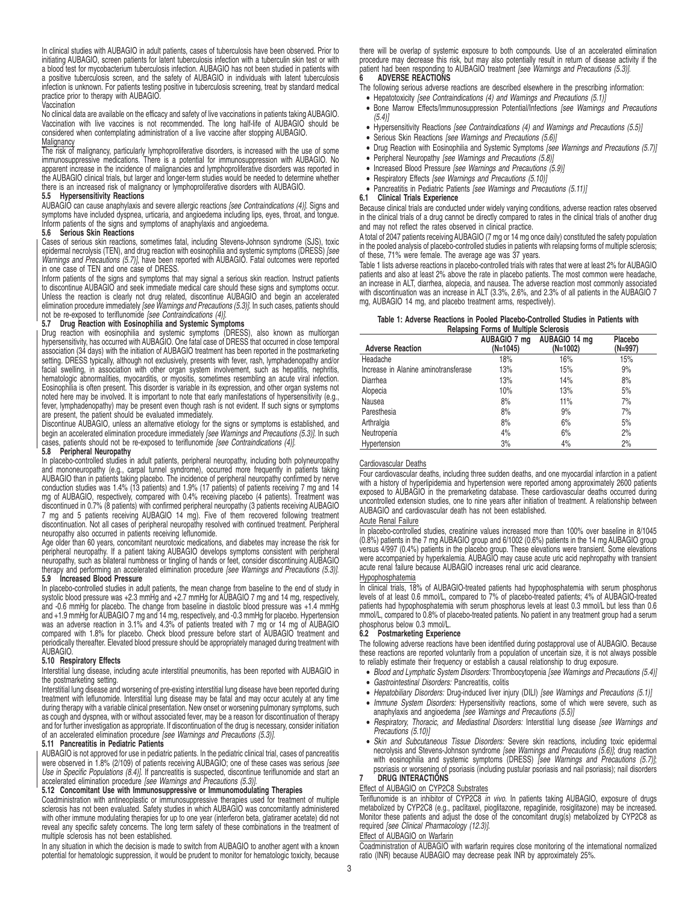In clinical studies with AUBAGIO in adult patients, cases of tuberculosis have been observed. Prior to initiating AUBAGIO, screen patients for latent tuberculosis infection with a tuberculin skin test or with a blood test for mycobacterium tuberculosis infection. AUBAGIO has not been studied in patients with a positive tuberculosis screen, and the safety of AUBAGIO in individuals with latent tuberculosis infection is unknown. For patients testing positive in tuberculosis screening, treat by standard medical practice prior to therapy with AUBAGIO.

### Vaccination

No clinical data are available on the efficacy and safety of live vaccinations in patients taking AUBAGIO. Vaccination with live vaccines is not recommended. The long half-life of AUBAGIO should be considered when contemplating administration of a live vaccine after stopping AUBAGIO.

### **Malignancy**

The risk of malignancy, particularly lymphoproliferative disorders, is increased with the use of some immunosuppressive medications. There is a potential for immunosuppression with AUBAGIO. No apparent increase in the incidence of malignancies and lymphoproliferative disorders was reported in the AUBAGIO clinical trials, but larger and longer-term studies would be needed to determine whether there is an increased risk of malignancy or lymphoproliferative disorders with AUBAGIO.

### **5.5 Hypersensitivity Reactions**

AUBAGIO can cause anaphylaxis and severe allergic reactions *[see Contraindications (4)].* Signs and<br>symptoms have included dyspnea, urticaria, and angioedema including lips, eyes, throat, and tongue. Inform patients of the signs and symptoms of anaphylaxis and angioedema.

### **5.6 Serious Skin Reactions**

Cases of serious skin reactions, sometimes fatal, including Stevens-Johnson syndrome (SJS), toxic epidermal necrolysis (TEN), and drug reaction with eosinophilia and systemic symptoms (DRESS) *[see*<br>*Warnings and Precautions (5.7)]*, have been reported with AUBAGIO. Fatal outcomes were reported in one case of TEN and one case of DRESS.

Inform patients of the signs and symptoms that may signal a serious skin reaction. Instruct patients to discontinue AUBAGIO and seek immediate medical care should these signs and symptoms occur. Unless the reaction is clearly not drug related, discontinue AUBAGIO and begin an accelerated elimination procedure immediately [se*e Warnings and Precautions (5.3)].* In such cases, patients should<br>not be re-exposed to teriflunomide [*see Contraindications (4)]*.

### **5.7 Drug Reaction with Eosinophilia and Systemic Symptoms**

Drug reaction with eosinophilia and systemic symptoms (DRESS), also known as multiorgan hypersensitivity, has occurred with AUBAGIO. One fatal case of DRESS that occurred in close temporal association (34 days) with the initiation of AUBAGIO treatment has been reported in the postmarketing setting. DRESS typically, although not exclusively, presents with fever, rash, lymphadenopathy and/or facial swelling, in association with other organ system involvement, such as hepatitis, nephritis, hematologic abnormalities, myocarditis, or myositis, sometimes resembling an acute viral infection. Eosinophilia is often present. This disorder is variable in its expression, and other organ systems not noted here may be involved. It is important to note that early manifestations of hypersensitivity (e.g., fever, lymphadenopathy) may be present even though rash is not evident. If such signs or symptoms are present, the patient should be evaluated immediately.

Discontinue AUBAGIO, unless an alternative etiology for the signs or symptoms is established, and begin an accelerated elimination procedure immediately [see Warnings and Precautions (5.3)]. In such cases, patients should not be re-exposed to teriflunomide [see Contraindications (4)].

### **5.8 Peripheral Neuropathy**

In placebo-controlled studies in adult patients, peripheral neuropathy, including both polyneuropathy and mononeuropathy (e.g., carpal tunnel syndrome), occurred more frequently in patients taking AUBAGIO than in patients taking placebo. The incidence of peripheral neuropathy confirmed by nerve conduction studies was 1.4% (13 patients) and 1.9% (17 patients) of patients receiving 7 mg and 14 mg of AUBAGIO, respectively, compared with 0.4% receiving placebo (4 patients). Treatment was discontinued in 0.7% (8 patients) with confirmed peripheral neuropathy (3 patients receiving AUBAGIO 7 mg and 5 patients receiving AUBAGIO 14 mg). Five of them recovered following treatment discontinuation. Not all cases of peripheral neuropathy resolved with continued treatment. Peripheral neuropathy also occurred in patients receiving leflunomide.

Age older than 60 years, concomitant neurotoxic medications, and diabetes may increase the risk for peripheral neuropathy. If a patient taking AUBAGIO develops symptoms consistent with peripheral neuropathy, such as bilateral numbness or tingling of hands or feet, consider discontinuing AUBAGIO therapy and performing an accelerated elimination procedure [see Warnings and Precautions (5.3)].

# **5.9 Increased Blood Pressure**

In placebo-controlled studies in adult patients, the mean change from baseline to the end of study in systolic blood pressure was +2.3 mmHg and +2.7 mmHg for AUBAGIO 7 mg and 14 mg, respectively, and -0.6 mmHg for placebo. The change from baseline in diastolic blood pressure was +1.4 mmHg and +1.9 mmHg for AUBAGIO 7 mg and 14 mg, respectively, and -0.3 mmHg for placebo. Hypertension was an adverse reaction in 3.1% and 4.3% of patients treated with 7 mg or 14 mg of AUBAGIO compared with 1.8% for placebo. Check blood pressure before start of AUBAGIO treatment and periodically thereafter. Elevated blood pressure should be appropriately managed during treatment with AUBAGIO.

### **5.10 Respiratory Effects**

Interstitial lung disease, including acute interstitial pneumonitis, has been reported with AUBAGIO in the postmarketing setting.

Interstitial lung disease and worsening of pre-existing interstitial lung disease have been reported during treatment with leflunomide. Interstitial lung disease may be fatal and may occur acutely at any time during therapy with a variable clinical presentation. New onset or worsening pulmonary symptoms, such as cough and dyspnea, with or without associated fever, may be a reason for discontinuation of therapy and for further investigation as appropriate. If discontinuation of the drug is necessary, consider initiation of an accelerated elimination procedure [see Warnings and Precautions (5.3)].

### **5.11 Pancreatitis in Pediatric Patients**

AUBAGIO is not approved for use in pediatric patients. In the pediatric clinical trial, cases of pancreatitis were observed in 1.8% (2/109) of patients receiving AUBAGIO; one of these cases was serious *[see*<br>*Use in Specific Populations (8.4)].* If pancreatitis is suspected, discontinue teriflunomide and start an accelerated elimination procedure [see Warnings and Precautions (5.3)].

# **5.12 Concomitant Use with Immunosuppressive or Immunomodulating Therapies**

Coadministration with antineoplastic or immunosuppressive therapies used for treatment of multiple sclerosis has not been evaluated. Safety studies in which AUBAGIO was concomitantly administered with other immune modulating therapies for up to one year (interferon beta, glatiramer acetate) did not reveal any specific safety concerns. The long term safety of these combinations in the treatment of multiple sclerosis has not been established.

In any situation in which the decision is made to switch from AUBAGIO to another agent with a known potential for hematologic suppression, it would be prudent to monitor for hematologic toxicity, because there will be overlap of systemic exposure to both compounds. Use of an accelerated elimination procedure may decrease this risk, but may also potentially result in return of disease activity if the patient had been responding to AUBAGIO treatment [see Warnings and Precautions (5.3)]. **6 ADVERSE REACTIONS**

## The following serious adverse reactions are described elsewhere in the prescribing information:

- Hepatotoxicity [see Contraindications (4) and Warnings and Precautions (5.1)]
- Bone Marrow Effects/Immunosuppression Potential/Infections [see Warnings and Precautions  $(5.4)$ ]
- Hypersensitivity Reactions [see Contraindications (4) and Warnings and Precautions (5.5)]
- Serious Skin Reactions [see Warnings and Precautions (5.6)]
- Drug Reaction with Eosinophilia and Systemic Symptoms [see Warnings and Precautions (5.7)]
- Peripheral Neuropathy [see Warnings and Precautions (5.8)]
- Increased Blood Pressure [see Warnings and Precautions (5.9)]
- Respiratory Effects [see Warnings and Precautions (5.10)]
- Pancreatitis in Pediatric Patients [see Warnings and Precautions (5.11)]

### **6.1 Clinical Trials Experience**

Because clinical trials are conducted under widely varying conditions, adverse reaction rates observed in the clinical trials of a drug cannot be directly compared to rates in the clinical trials of another drug and may not reflect the rates observed in clinical practice.

A total of 2047 patients receiving AUBAGIO (7 mg or 14 mg once daily) constituted the safety population in the pooled analysis of placebo-controlled studies in patients with relapsing forms of multiple sclerosis; of these, 71% were female. The average age was 37 years.

Table 1 lists adverse reactions in placebo-controlled trials with rates that were at least 2% for AUBAGIO patients and also at least 2% above the rate in placebo patients. The most common were headache, an increase in ALT, diarrhea, alopecia, and nausea. The adverse reaction most commonly associated with discontinuation was an increase in ALT (3.3%, 2.6%, and 2.3% of all patients in the AUBAGIO 7 mg, AUBAGIO 14 mg, and placebo treatment arms, respectively).

### **Table 1: Adverse Reactions in Pooled Placebo-Controlled Studies in Patients with Relapsing Forms of Multiple Sclerosis**

| <b>Adverse Reaction</b>              | AUBAGIO 7 mg<br>(N=1045) | AUBAGIO 14 mg<br>(N=1002) | Placebo<br>(N=997) |
|--------------------------------------|--------------------------|---------------------------|--------------------|
| Headache                             | 18%                      | 16%                       | 15%                |
| Increase in Alanine aminotransferase | 13%                      | 15%                       | 9%                 |
| Diarrhea                             | 13%                      | 14%                       | 8%                 |
| Alopecia                             | 10%                      | 13%                       | 5%                 |
| Nausea                               | 8%                       | 11%                       | 7%                 |
| Paresthesia                          | 8%                       | 9%                        | 7%                 |
| Arthralgia                           | 8%                       | 6%                        | 5%                 |
| Neutropenia                          | 4%                       | 6%                        | 2%                 |
| Hypertension                         | 3%                       | 4%                        | 2%                 |

### Cardiovascular Deaths

Four cardiovascular deaths, including three sudden deaths, and one myocardial infarction in a patient with a history of hyperlipidemia and hypertension were reported among approximately 2600 patients exposed to AUBAGIO in the premarketing database. These cardiovascular deaths occurred during uncontrolled extension studies, one to nine years after initiation of treatment. A relationship between AUBAGIO and cardiovascular death has not been established.

# Acute Renal Failure

In placebo-controlled studies, creatinine values increased more than 100% over baseline in 8/1045<br>(0.8%) patients in the 7 mg AUBAGIO group and 6/1002 (0.6%) patients in the 14 mg AUBAGIO group<br>versus 4/997 (0.4%) patients were accompanied by hyperkalemia. AUBAGIO may cause acute uric acid nephropathy with transient acute renal failure because AUBAGIO increases renal uric acid clearance.

### Hypophosphatemia

In clinical trials, 18% of AUBAGIO-treated patients had hypophosphatemia with serum phosphorus levels of at least 0.6 mmol/L, compared to 7% of placebo-treated patients; 4% of AUBAGIO-treated patients had hypophosphatemia with serum phosphorus levels at least 0.3 mmol/L but less than 0.6 mmol/L, compared to 0.8% of placebo-treated patients. No patient in any treatment group had a serum phosphorus below 0.3 mmol/L.

## **6.2 Postmarketing Experience**

The following adverse reactions have been identified during postapproval use of AUBAGIO. Because these reactions are reported voluntarily from a population of uncertain size, it is not always possible to reliably estimate their frequency or establish a causal relationship to drug exposure.

- Blood and Lymphatic System Disorders: Thrombocytopenia [see Warnings and Precautions (5.4)] • Gastrointestinal Disorders: Pancreatitis, colitis
- 
- Hepatobiliary Disorders: Drug-induced liver injury (DILI) [see Warnings and Precautions (5.1)] • Immune System Disorders: Hypersensitivity reactions, some of which were severe, such as anaphylaxis and angioedema [see Warnings and Precautions (5.5)]
- Respiratory, Thoracic, and Mediastinal Disorders: Interstitial lung disease [see Warnings and Precautions (5.10)]
- Skin and Subcutaneous Tissue Disorders: Severe skin reactions, including toxic epidermal necrolysis and Stevens-Johnson syndrome *[see Warnings and Precautions (5.6)]*; drug reaction<br>with eosinophilia and systemic symptoms (DRESS) *[see Warnings and Precautions (5.7)]*; psoriasis or worsening of psoriasis (including pustular psoriasis and nail psoriasis); nail disorders **7 DRUG INTERACTIONS**

# Effect of AUBAGIO on CYP2C8 Substrates

Teriflunomide is an inhibitor of CYP2C8 in vivo. In patients taking AUBAGIO, exposure of drugs metabolized by CYP2C8 (e.g., paclitaxel, pioglitazone, repaglinide, rosiglitazone) may be increased. Monitor these patients and adjust the dose of the concomitant drug(s) metabolized by CYP2C8 as<br>required *[see Clinical Pharmacology (12.3)]*.

# Effect of AUBAGIO on Warfarin

Coadministration of AUBAGIO with warfarin requires close monitoring of the international normalized ratio (INR) because AUBAGIO may decrease peak INR by approximately 25%.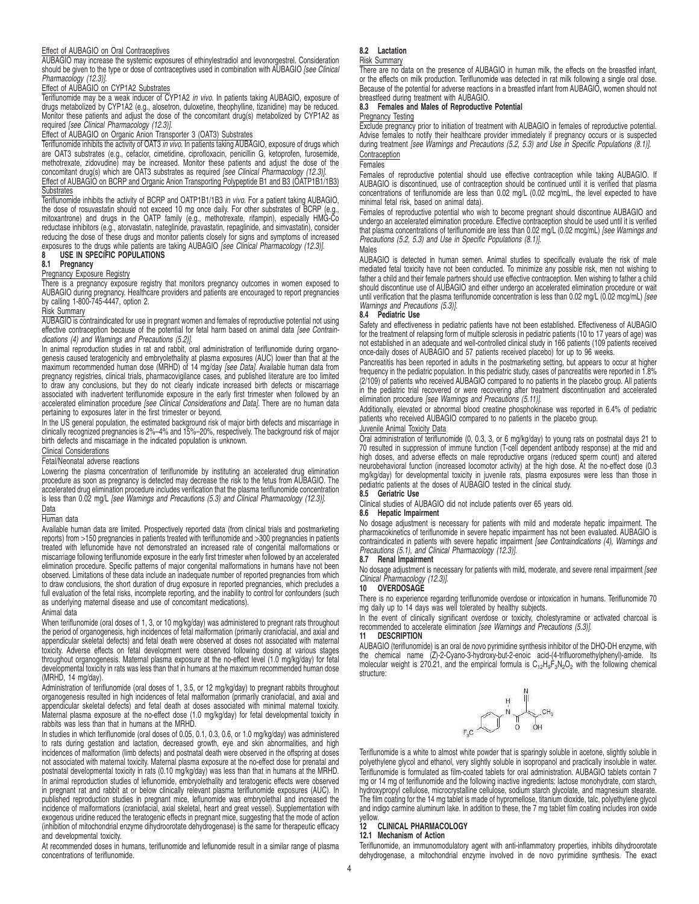### Effect of AUBAGIO on Oral Contraceptives

AUBAGIO may increase the systemic exposures of ethinylestradiol and levonorgestrel. Consideration should be given to the type or dose of contraceptives used in combination with AUBAGIO [see Clinical Pharmacology (12.3)].

### Effect of AUBAGIO on CYP1A2 Substrates

Teriflunomide may be a weak inducer of CYP1A2 in vivo. In patients taking AUBAGIO, exposure of drugs metabolized by CYP1A2 (e.g., alosetron, duloxetine, theophylline, tizanidine) may be reduced. Monitor these patients and adjust the dose of the concomitant drug(s) metabolized by CYP1A2 as required [see Clinical Pharmacology (12.3)].

Effect of AUBAGIO on Organic Anion Transporter 3 (OAT3) Substrates

Teriflunomide inhibits the activity of OAT3 in vivo. In patients taking AUBAGIO, exposure of drugs which are OAT3 substrates (e.g., cefaclor, cimetidine, ciprofloxacin, penicillin G, ketoprofen, furosemide, methotrexate, zidovudine) may be increased. Monitor these patients and adjust the dose of the<br>concomitant drug(s) which are OAT3 substrates as required *[see Clinical Pharmacology (12.3)]*. Effect of AUBAGIO on BCRP and Organic Anion Transporting Polypeptide B1 and B3 (OATP1B1/1B3) **Substrates** 

Teriflunomide inhibits the activity of BCRP and OATP1B1/1B3 *in vivo*. For a patient taking AUBAGIO,<br>the dose of rosuvastatin should not exceed 10 mg once daily. For other substrates of BCRP (e.g.,<br>mitoxantrone) and drugs reductase inhibitors (e.g., atorvastatin, nateglinide, pravastatin, repaglinide, and simvastatin), consider reducing the dose of these drugs and monitor patients closely for signs and symptoms of increased exposures to the drugs while patients are taking AUBAGIO [see Clinical Pharmacology (12.3)].<br>8 USE IN SPECIFIC POPULATIONS

# 8 USE IN SPECIFIC POPULATIONS<br>8.1 Pregnancy

### **8.1 Pregnancy**

### Pregnancy Exposure Registry

There is a pregnancy exposure registry that monitors pregnancy outcomes in women exposed to AUBAGIO during pregnancy. Healthcare providers and patients are encouraged to report pregnancies by calling 1-800-745-4447, option 2.

# Risk Summary

AUBAGIO is contraindicated for use in pregnant women and females of reproductive potential not using<br>effective contraception because of the potential for fetal harm based on animal data [see Contrain-<br>dications (4) and War

In animal reproduction studies in rat and rabbit, oral administration of teriflunomide during organogenesis caused teratogenicity and embryolethality at plasma exposures (AUC) lower than that at the maximum recommended human dose (MRHD) of 14 mg/day [see Data]. Available human data from pregnancy registries, clinical trials, pharmacovigilance cases, and published literature are too limited to draw any conclusions, but they do not clearly indicate increased birth defects or miscarriage associated with inadvertent teriflunomide exposure in the early first trimester when followed by an accelerated elimination procedure [see Clinical Considerations and Data]. There are no human data pertaining to exposures later in the first trimester or beyond.

In the US general population, the estimated background risk of major birth defects and miscarriage in clinically recognized pregnancies is 2%–4% and 15%–20%, respectively. The background risk of major birth defects and miscarriage in the indicated population is unknown.

### Clinical Considerations

### Fetal/Neonatal adverse reactions

Lowering the plasma concentration of teriflunomide by instituting an accelerated drug elimination<br>procedure as soon as pregnancy is detected may decrease the risk to the fetus from AUBAGIO. The<br>accelerated drug elimination Data

# Human data

Available human data are limited. Prospectively reported data (from clinical trials and postmarketing reports) from >150 pregnancies in patients treated with teriflunomide and >300 pregnancies in patients treated with leflunomide have not demonstrated an increased rate of congenital malformations or miscarriage following teriflunomide exposure in the early first trimester when followed by an accelerated elimination procedure. Specific patterns of major congenital malformations in humans have not been observed. Limitations of these data include an inadequate number of reported pregnancies from which to draw conclusions, the short duration of drug exposure in reported pregnancies, which precludes a full evaluation of the fetal risks, incomplete reporting, and the inability to control for confounders (such as underlying maternal disease and use of concomitant medications).

### Animal data

When teriflunomide (oral doses of 1, 3, or 10 mg/kg/day) was administered to pregnant rats throughout the period of organogenesis, high incidences of fetal malformation (primarily craniofacial, and axial and appendicular skeletal defects) and fetal death were observed at doses not associated with maternal toxicity. Adverse effects on fetal development were observed following dosing at various stages throughout organogenesis. Maternal plasma exposure at the no-effect level (1.0 mg/kg/day) for fetal developmental toxicity in rats was less than that in humans at the maximum recommended human dose (MRHD, 14 mg/day).

Administration of teriflunomide (oral doses of 1, 3.5, or 12 mg/kg/day) to pregnant rabbits throughout<br>organogenesis resulted in high incidences of fetal malformation (primarily craniofacial, and axial and<br>appendicular ske Maternal plasma exposure at the no-effect dose (1.0 mg/kg/day) for fetal developmental toxicity in rabbits was less than that in humans at the MRHD.

In studies in which teriflunomide (oral doses of 0.05, 0.1, 0.3, 0.6, or 1.0 mg/kg/day) was administered to rats during gestation and lactation, decreased growth, eye and skin abnormalities, and high incidences of malformation (limb defects) and postnatal death were observed in the offspring at doses not associated with maternal toxicity. Maternal plasma exposure at the no-effect dose for prenatal and postnatal developmental toxicity in rats (0.10 mg/kg/day) was less than that in humans at the MRHD. In animal reproduction studies of leflunomide, embryolethality and teratogenic effects were observed in pregnant rat and rabbit at or below clinically relevant plasma teriflunomide exposures (AUC). In published reproduction studies in pregnant mice, leflunomide was embryolethal and increased the incidence of malformations (craniofacial, axial skeletal, heart and great vessel). Supplementation with exogenous uridine reduced the teratogenic effects in pregnant mice, suggesting that the mode of action (inhibition of mitochondrial enzyme dihydroorotate dehydrogenase) is the same for therapeutic efficacy and developmental toxicity.

At recommended doses in humans, teriflunomide and leflunomide result in a similar range of plasma concentrations of teriflunomide.

# **8.2 Lactation**

### Risk Summary

There are no data on the presence of AUBAGIO in human milk, the effects on the breastfed infant, or the effects on milk production. Teriflunomide was detected in rat milk following a single oral dose. Because of the potential for adverse reactions in a breastfed infant from AUBAGIO, women should not breastfeed during treatment with AUBAGIO.

# **8.3 Females and Males of Reproductive Potential**

### Pregnancy Testing

Exclude pregnancy prior to initiation of treatment with AUBAGIO in females of reproductive potential. Advise females to notify their healthcare provider immediately if pregnancy occurs or is suspected<br>during treatment [see Warnings and Precautions (5.2, 5.3) and Use in Specific Populations (8.1)]. Contraception

# Females

Females of reproductive potential should use effective contraception while taking AUBAGIO. If AUBAGIO is discontinued, use of contraception should be continued until it is verified that plasma concentrations of teriflunomide are less than 0.02 mg/L (0.02 mcg/mL, the level expected to have minimal fetal risk, based on animal data).

Females of reproductive potential who wish to become pregnant should discontinue AUBAGIO and undergo an accelerated elimination procedure. Effective contraception should be used until it is verified that plasma concentrations of teriflunomide are less than 0.02 mg/L (0.02 mcg/mL) [see Warnings and<br>*Precautions (5.2, 5.3) and Use in Specific Populations (8.1)].* Males

AUBAGIO is detected in human semen. Animal studies to specifically evaluate the risk of male mediated fetal toxicity have not been conducted. To minimize any possible risk, men not wishing to father a child and their female partners should use effective contraception. Men wishing to father a child should discontinue use of AUBAGIO and either undergo an accelerated elimination procedure or wait until verification that the plasma teriflunomide concentration is less than 0.02 mg/L (0.02 mcg/mL) [see Warnings and Precautions (5.3)].

### **8.4 Pediatric Use**

Safety and effectiveness in pediatric patients have not been established. Effectiveness of AUBAGIO for the treatment of relapsing form of multiple sclerosis in pediatric patients (10 to 17 years of age) was not established in an adequate and well-controlled clinical study in 166 patients (109 patients received once-daily doses of AUBAGIO and 57 patients received placebo) for up to 96 weeks.

Pancreatitis has been reported in adults in the postmarketing setting, but appears to occur at higher frequency in the pediatric population. In this pediatric study, cases of pancreatitis were reported in 1.8% (2/109) of patients who received AUBAGIO compared to no patients in the placebo group. All patients in the pediatric trial recovered or were recovering after treatment discontinuation and accelerated elimination procedure [see Warnings and Precautions (5.11)].

Additionally, elevated or abnormal blood creatine phosphokinase was reported in 6.4% of pediatric patients who received AUBAGIO compared to no patients in the placebo group.

# Juvenile Animal Toxicity Data

Oral administration of teriflunomide (0, 0.3, 3, or 6 mg/kg/day) to young rats on postnatal days 21 to 70 resulted in suppression of immune function (T-cell dependent antibody response) at the mid and high doses, and adverse effects on male reproductive organs (reduced sperm count) and altered neurobehavioral function (increased locomotor activity) at the high dose. At the no-effect dose (0.3 mg/kg/day) for developmental toxicity in juvenile rats, plasma exposures were less than those in pediatric patients at the doses of AUBAGIO tested in the clinical study.

# **8.5 Geriatric Use**

Clinical studies of AUBAGIO did not include patients over 65 years old.

# **8.6 Hepatic Impairment**

No dosage adjustment is necessary for patients with mild and moderate hepatic impairment. The pharmacokinetics of teriflunomide in severe hepatic impairment has not been evaluated. AUBAGIO is contraindicated in patients with severe hepatic impairment [see Contraindications (4), Warnings and Precautions (5.1), and Clinical Pharmacology (12.3)].

### **8.7 Renal Impairment**

No dosage adjustment is necessary for patients with mild, moderate, and severe renal impairment [see Clinical Pharmacology (12.3)].

### **10 OVERDOSAGE**

There is no experience regarding teriflunomide overdose or intoxication in humans. Teriflunomide 70 mg daily up to 14 days was well tolerated by healthy subjects.

In the event of clinically significant overdose or toxicity, cholestyramine or activated charcoal is recommended to accelerate elimination [see Warnings and Precautions (5.3)].

### **11 DESCRIPTION**

AUBAGIO (teriflunomide) is an oral de novo pyrimidine synthesis inhibitor of the DHO-DH enzyme, with the chemical name (Z)-2-Cyano-3-hydroxy-but-2-enoic acid-(4-trifluoromethylphenyl)-amide. Its molecular weight is 270.21, and the empirical formula is  $C_{12}H_{9}F_{3}N_{2}O_{2}$  with the following chemical structure:



Teriflunomide is a white to almost white powder that is sparingly soluble in acetone, slightly soluble in polyethylene glycol and ethanol, very slightly soluble in isopropanol and practically insoluble in water. Teriflunomide is formulated as film-coated tablets for oral administration. AUBAGIO tablets contain 7 mg or 14 mg of teriflunomide and the following inactive ingredients: lactose monohydrate, corn starch, hydroxypropyl cellulose, microcrystalline cellulose, sodium starch glycolate, and magnesium stearate. The film coating for the 14 mg tablet is made of hypromellose, titanium dioxide, talc, polyethylene glycol and indigo carmine aluminum lake. In addition to these, the 7 mg tablet film coating includes iron oxide

### yellow.<br>12 **12 CLINICAL PHARMACOLOGY**

### **12.1 Mechanism of Action**

Teriflunomide, an immunomodulatory agent with anti-inflammatory properties, inhibits dihydroorotate dehydrogenase, a mitochondrial enzyme involved in de novo pyrimidine synthesis. The exact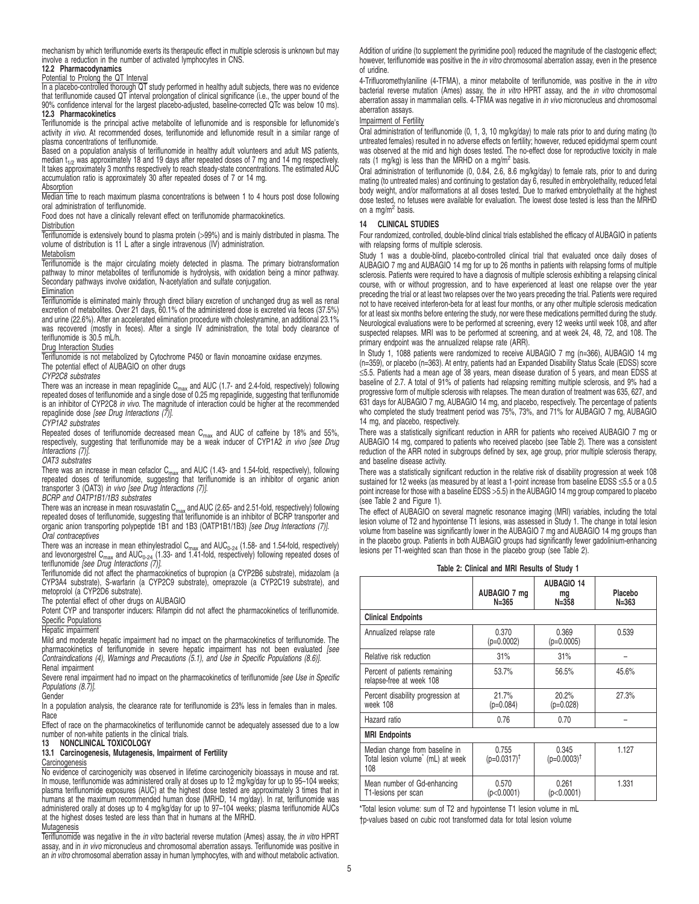mechanism by which teriflunomide exerts its therapeutic effect in multiple sclerosis is unknown but may involve a reduction in the number of activated lymphocytes in CNS.

### **12.2 Pharmacodynamics**

## Potential to Prolong the QT Interval

In a placebo-controlled thorough QT study performed in healthy adult subjects, there was no evidence that teriflunomide caused QT interval prolongation of clinical significance (i.e., the upper bound of the 90% confidence interval for the largest placebo-adjusted, baseline-corrected QTc was below 10 ms). **12.3 Pharmacokinetics**

Teriflunomide is the principal active metabolite of leflunomide and is responsible for leflunomide's activity in vivo. At recommended doses, teriflunomide and leflunomide result in a similar range of plasma concentrations of teriflunomide.

Based on a population analysis of teriflunomide in healthy adult volunteers and adult MS patients, median  $t_{1/2}$  was approximately 18 and 19 days after repeated doses of 7 mg and 14 mg respectively. It takes approximately 3 months respectively to reach steady-state concentrations. The estimated AUC accumulation ratio is approximately 30 after repeated doses of 7 or 14 mg.

### **Absorption**

Median time to reach maximum plasma concentrations is between 1 to 4 hours post dose following oral administration of teriflunomide.

Food does not have a clinically relevant effect on teriflunomide pharmacokinetics.

# Distribution

Teriflunomide is extensively bound to plasma protein (>99%) and is mainly distributed in plasma. The volume of distribution is 11 L after a single intravenous (IV) administration.

### Metabolism

Teriflunomide is the major circulating moiety detected in plasma. The primary biotransformation pathway to minor metabolites of teriflunomide is hydrolysis, with oxidation being a minor pathway. Secondary pathways involve oxidation, N-acetylation and sulfate conjugation.

### **Elimination**

Teriflunomide is eliminated mainly through direct biliary excretion of unchanged drug as well as renal excretion of metabolites. Over 21 days, 60.1% of the administered dose is excreted via feces (37.5%) and urine (22.6%). After an accelerated elimination procedure with cholestyramine, an additional 23.1% was recovered (mostly in feces). After a single IV administration, the total body clearance of teriflunomide is 30.5 mL/h.

### Drug Interaction Studies

Teriflunomide is not metabolized by Cytochrome P450 or flavin monoamine oxidase enzymes.

### The potential effect of AUBAGIO on other drugs

### CYP2C8 substrates

There was an increase in mean repaglinide C<sub>max</sub> and AUC (1.7- and 2.4-fold, respectively) following<br>repeated doses of teriflunomide and a single dose of 0.25 mg repaglinide, suggesting that teriflunomide is an inhibitor of CYP2C8 in vivo. The magnitude of interaction could be higher at the recommended repaglinide dose [see Drug Interactions (7)].

### CYP1A2 substrates

Repeated doses of teriflunomide decreased mean C<sub>max</sub> and AUC of caffeine by 18% and 55%, respectively, suggesting that teriflunomide may be a weak inducer of CYP1A2 in vivo [see Drug Interactions (7)].

### OAT3 substrates

There was an increase in mean cefaclor C<sub>max</sub> and AUC (1.43- and 1.54-fold, respectively), following<br>repeated doses of teriflunomide, suggesting that teriflunomide is an inhibitor of organic anion<br>transporter 3 (OAT3) *in* 

# BCRP and OATP1B1/1B3 substrates

There was an increase in mean rosuvastatin C<sub>max</sub> and AUC (2.65- and 2.51-fold, respectively) following<br>repeated doses of teriflunomide, suggesting that teriflunomide is an inhibitor of BCRP transporter and<br>organic anion t Oral contraceptives

There was an increase in mean ethinylestradiol C<sub>max</sub> and AUC<sub>0-24</sub> (1.58- and 1.54-fold, respectively)<br>and levonorgestrel C<sub>max</sub> and AUC<sub>0-24</sub> (1.33- and 1.41-fold, respectively) following repeated doses of<br>teriflunomide

Teriflunomide did not affect the pharmacokinetics of bupropion (a CYP2B6 substrate), midazolam (a CYP3A4 substrate), S-warfarin (a CYP2C9 substrate), omeprazole (a CYP2C19 substrate), and metoprolol (a CYP2D6 substrate).

### The potential effect of other drugs on AUBAGIO

Potent CYP and transporter inducers: Rifampin did not affect the pharmacokinetics of teriflunomide. Specific Populations

### Hepatic impairment

Mild and moderate hepatic impairment had no impact on the pharmacokinetics of teriflunomide. The pharmacokinetics of teriflunomide in severe hepatic impairment has not been evaluated [see<br>Contraindications (4), Warnings and Precautions (5.1), and Use in Specific Populations (8.6)]. Renal impairment

Severe renal impairment had no impact on the pharmacokinetics of teriflunomide [see Use in Specific Populations (8.7)].

Gender

In a population analysis, the clearance rate for teriflunomide is 23% less in females than in males. Race

Effect of race on the pharmacokinetics of teriflunomide cannot be adequately assessed due to a low number of non-white patients in the clinical trials.

# **13 NONCLINICAL TOXICOLOGY**

**13.1 Carcinogenesis, Mutagenesis, Impairment of Fertility**

### **Carcinogenesis**

No evidence of carcinogenicity was observed in lifetime carcinogenicity bioassays in mouse and rat. In mouse, teriflunomide was administered orally at doses up to 12 mg/kg/day for up to 95-104 weeks; plasma teriflunomide exposures (AUC) at the highest dose tested are approximately 3 times that in humans at the maximum recommended human dose (MRHD, 14 mg/day). In rat, teriflunomide was administered orally at doses up to 4 mg/kg/day for up to 97–104 weeks; plasma teriflunomide AUCs at the highest doses tested are less than that in humans at the MRHD.

### Mutagenesis

Teriflunomide was negative in the in vitro bacterial reverse mutation (Ames) assay, the in vitro HPRT assay, and in in vivo micronucleus and chromosomal aberration assays. Teriflunomide was positive in an in vitro chromosomal aberration assay in human lymphocytes, with and without metabolic activation.

Addition of uridine (to supplement the pyrimidine pool) reduced the magnitude of the clastogenic effect; however, teriflunomide was positive in the *in vitro* chromosomal aberration assay, even in the presence of uridine.

4-Trifluoromethylaniline (4-TFMA), a minor metabolite of teriflunomide, was positive in the in vitro bacterial reverse mutation (Ames) assay, the *in vitro* HPRT assay, and the *in vitro* chromosomal aberration assay in mammalian cells. 4-TFMA was negative in in vivo micronucleus and chromosomal aberration assays.

### Impairment of Fertility

Oral administration of teriflunomide (0, 1, 3, 10 mg/kg/day) to male rats prior to and during mating (to untreated females) resulted in no adverse effects on fertility; however, reduced epididymal sperm count was observed at the mid and high doses tested. The no-effect dose for reproductive toxicity in male rats (1 mg/kg) is less than the MRHD on a mg/m<sup>2</sup> basis.

Oral administration of teriflunomide (0, 0.84, 2.6, 8.6 mg/kg/day) to female rats, prior to and during mating (to untreated males) and continuing to gestation day 6, resulted in embryolethality, reduced fetal body weight, and/or malformations at all doses tested. Due to marked embryolethality at the highest dose tested, no fetuses were available for evaluation. The lowest dose tested is less than the MRHD on a mg/m<sup>2</sup> basis.

### **14 CLINICAL STUDIES**

Four randomized, controlled, double-blind clinical trials established the efficacy of AUBAGIO in patients with relapsing forms of multiple sclerosis.

Study 1 was a double-blind, placebo-controlled clinical trial that evaluated once daily doses of AUBAGIO 7 mg and AUBAGIO 14 mg for up to 26 months in patients with relapsing forms of multiple sclerosis. Patients were required to have a diagnosis of multiple sclerosis exhibiting a relapsing clinical course, with or without progression, and to have experienced at least one relapse over the year preceding the trial or at least two relapses over the two years preceding the trial. Patients were required not to have received interferon-beta for at least four months, or any other multiple sclerosis medication for at least six months before entering the study, nor were these medications permitted during the study. Neurological evaluations were to be performed at screening, every 12 weeks until week 108, and after suspected relapses. MRI was to be performed at screening, and at week 24, 48, 72, and 108. The primary endpoint was the annualized relapse rate (ARR).

In Study 1, 1088 patients were randomized to receive AUBAGIO 7 mg (n=366), AUBAGIO 14 mg (n=359), or placebo (n=363). At entry, patients had an Expanded Disability Status Scale (EDSS) score ≤5.5. Patients had a mean age of 38 years, mean disease duration of 5 years, and mean EDSS at baseline of 2.7. A total of 91% of patients had relapsing remitting multiple sclerosis, and 9% had a progressive form of multiple sclerosis with relapses. The mean duration of treatment was 635, 627, and 631 days for AUBAGIO 7 mg, AUBAGIO 14 mg, and placebo, respectively. The percentage of patients who completed the study treatment period was 75%, 73%, and 71% for AUBAGIO 7 mg, AUBAGIO 14 mg, and placebo, respectively.

There was a statistically significant reduction in ARR for patients who received AUBAGIO 7 mg or AUBAGIO 14 mg, compared to patients who received placebo (see Table 2). There was a consistent reduction of the ARR noted in subgroups defined by sex, age group, prior multiple sclerosis therapy, and baseline disease activity.

There was a statistically significant reduction in the relative risk of disability progression at week 108 sustained for 12 weeks (as measured by at least a 1-point increase from baseline EDSS ≤5.5 or a 0.5 point increase for those with a baseline EDSS >5.5) in the AUBAGIO 14 mg group compared to placebo (see Table 2 and Figure 1).

The effect of AUBAGIO on several magnetic resonance imaging (MRI) variables, including the total lesion volume of T2 and hypointense T1 lesions, was assessed in Study 1. The change in total lesion volume from baseline was significantly lower in the AUBAGIO 7 mg and AUBAGIO 14 mg groups than in the placebo group. Patients in both AUBAGIO groups had significantly fewer gadolinium-enhancing lesions per T1-weighted scan than those in the placebo group (see Table 2).

**Table 2: Clinical and MRI Results of Study 1**

|                                                                                        | AUBAGIO 7 mg<br>$N = 365$ | <b>AUBAGIO 14</b><br>mg<br>$N = 358$ | Placebo<br>$N = 363$ |  |  |
|----------------------------------------------------------------------------------------|---------------------------|--------------------------------------|----------------------|--|--|
| <b>Clinical Endpoints</b>                                                              |                           |                                      |                      |  |  |
| Annualized relapse rate                                                                | 0.370<br>$(p=0.0002)$     | 0.369<br>$(p=0.0005)$                | 0.539                |  |  |
| Relative risk reduction                                                                | 31%                       | 31%                                  |                      |  |  |
| Percent of patients remaining<br>relapse-free at week 108                              | 53.7%                     | 56.5%                                | 45.6%                |  |  |
| Percent disability progression at<br>week 108                                          | 21.7%<br>$(p=0.084)$      | 20.2%<br>$(p=0.028)$                 | 27.3%                |  |  |
| Hazard ratio                                                                           | 0.76                      | 0.70                                 |                      |  |  |
| <b>MRI Endpoints</b>                                                                   |                           |                                      |                      |  |  |
| Median change from baseline in<br>Total lesion volume <sup>*</sup> (mL) at week<br>108 | 0.755<br>$(p=0.0317)^+$   | 0.345<br>$(p=0.0003)^{+}$            | 1.127                |  |  |
| Mean number of Gd-enhancing<br>T1-lesions per scan                                     | 0.570<br>(p<0.0001)       | 0.261<br>(p<0.0001)                  | 1.331                |  |  |

\*Total lesion volume: sum of T2 and hypointense T1 lesion volume in mL †p-values based on cubic root transformed data for total lesion volume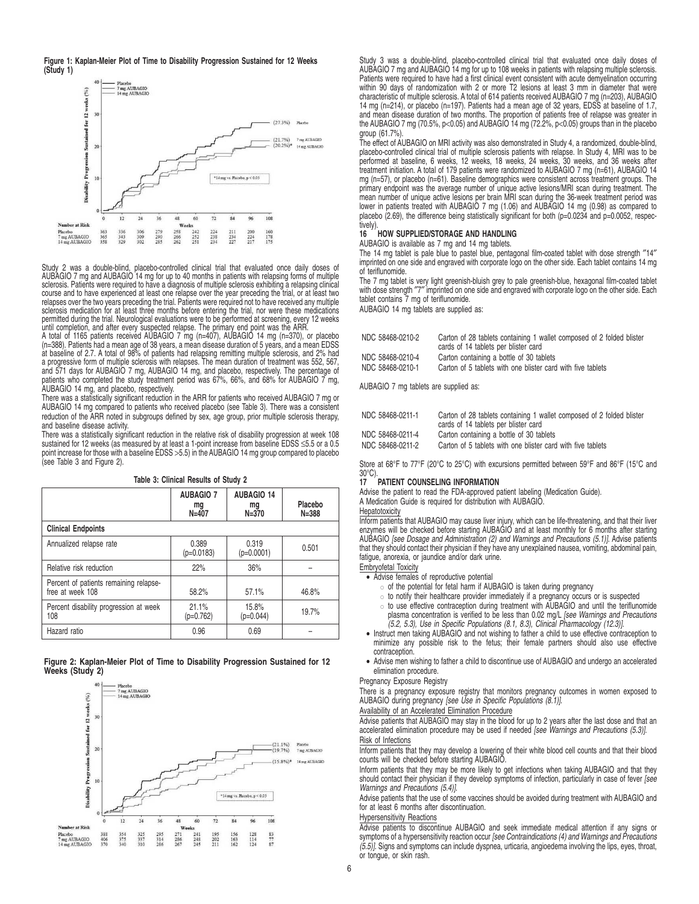**Figure 1: Kaplan-Meier Plot of Time to Disability Progression Sustained for 12 Weeks (Study 1)**



Study 2 was a double-blind, placebo-controlled clinical trial that evaluated once daily doses of AUBAGIO 7 mg and AUBAGIO 14 mg for up to 40 months in patients with relapsing forms of multiple sclerosis. Patients were required to have a diagnosis of multiple sclerosis exhibiting a relapsing clinical<br>course and to have experienced at least one relapse over the year preceding the trial, or at least two<br>relapses ov sclerosis medication for at least three months before entering the trial, nor were these medications permitted during the trial. Neurological evaluations were to be performed at screening, every 12 weeks

until completion, and after every suspected relapse. The primary end point was the ARR.<br>A total of 1165 patients received AUBAGIO 7 mg (n=407), AUBAGIO 14 mg (n=700), or placebo<br>(n=388). Patients had a mean age of 38 years and 571 days for AUBAGIO 7 mg, AUBAGIO 14 mg, and placebo, respectively. The percentage of patients who completed the study treatment period was 67%, 66%, and 68% for AUBAGIO 7 mg, AUBAGIO 14 mg, and placebo, respectively.

There was a statistically significant reduction in the ARR for patients who received AUBAGIO 7 mg or AUBAGIO 14 mg compared to patients who received placebo (see Table 3). There was a consistent reduction of the ARR noted in subgroups defined by sex, age group, prior multiple sclerosis therapy, and baseline disease activity.

There was a statistically significant reduction in the relative risk of disability progression at week 108 sustained for 12 weeks (as measured by at least a 1-point increase from baseline EDSS ≤5.5 or a 0.5 point increase for those with a baseline EDSS >5.5) in the AUBAGIO 14 mg group compared to placebo (see Table 3 and Figure 2).

**Table 3: Clinical Results of Study 2**

|                                                            | <b>AUBAGIO 7</b><br>mg<br>$N = 407$ | <b>AUBAGIO 14</b><br>mq<br>$N = 370$ | Placebo<br>$N = 388$ |  |
|------------------------------------------------------------|-------------------------------------|--------------------------------------|----------------------|--|
| <b>Clinical Endpoints</b>                                  |                                     |                                      |                      |  |
| Annualized relapse rate                                    | 0.389<br>$(p=0.0183)$               | 0.319<br>$(p=0.0001)$                | 0.501                |  |
| Relative risk reduction                                    | 22%                                 | 36%                                  |                      |  |
| Percent of patients remaining relapse-<br>free at week 108 | 58.2%                               | 57.1%                                | 46.8%                |  |
| Percent disability progression at week<br>108              | 21.1%<br>(p=0.762)                  | 15.8%<br>(p=0.044)                   | 19.7%                |  |
| Hazard ratio                                               | 0.96                                | 0.69                                 |                      |  |

### **Figure 2: Kaplan-Meier Plot of Time to Disability Progression Sustained for 12 Weeks (Study 2)**



Study 3 was a double-blind, placebo-controlled clinical trial that evaluated once daily doses of AUBAGIO 7 mg and AUBAGIO 14 mg for up to 108 weeks in patients with relapsing multiple sclerosis. Patients were required to have had a first clinical event consistent with acute demyelination occurring within 90 days of randomization with 2 or more T2 lesions at least 3 mm in diameter that were characteristic of multiple sclerosis. A total of 614 patients received AUBAGIO 7 mg (n=203), AUBAGIO 14 mg (n=214), or placebo (n=197). Patients had a mean age of 32 years, EDSS at baseline of 1.7, and mean disease duration of two months. The proportion of patients free of relapse was greater in the AUBAGIO 7 mg (70.5%,  $p<0.05$ ) and AUBAGIO 14 mg (72.2%,  $p<0.05$ ) groups than in the placebo group (61.7%).

The effect of AUBAGIO on MRI activity was also demonstrated in Study 4, a randomized, double-blind, placebo-controlled clinical trial of multiple sclerosis patients with relapse. In Study 4, MRI was to be performed at baseline, 6 weeks, 12 weeks, 18 weeks, 24 weeks, 30 weeks, and 36 weeks after treatment initiation. A total of 179 patients were randomized to AUBAGIO 7 mg (n=61), AUBAGIO 14 mg (n=57), or placebo (n=61). Baseline demographics were consistent across treatment groups. The primary endpoint was the average number of unique active lesions/MRI scan during treatment. The<br>mean number of unique active lesions per brain MRI scan during the 36-week treatment period was<br>lower in patients treated with placebo (2.69), the difference being statistically significant for both (p=0.0234 and p=0.0052, respectively).<br>16

### **16 HOW SUPPLIED/STORAGE AND HANDLING**

AUBAGIO is available as 7 mg and 14 mg tablets.

The 14 mg tablet is pale blue to pastel blue, pentagonal film-coated tablet with dose strength ″14″ imprinted on one side and engraved with corporate logo on the other side. Each tablet contains 14 mg of teriflunomide.

The 7 mg tablet is very light greenish-bluish grey to pale greenish-blue, hexagonal film-coated tablet with dose strength ″7″ imprinted on one side and engraved with corporate logo on the other side. Each tablet contains 7 mg of teriflunomide.

AUBAGIO 14 mg tablets are supplied as:

| NDC 58468-0210-2 | Carton of 28 tablets containing 1 wallet composed of 2 folded blister<br>cards of 14 tablets per blister card |
|------------------|---------------------------------------------------------------------------------------------------------------|
| NDC 58468-0210-4 | Carton containing a bottle of 30 tablets                                                                      |
| NDC 58468-0210-1 | Carton of 5 tablets with one blister card with five tablets                                                   |

AUBAGIO 7 mg tablets are supplied as:

| NDC 58468-0211-1<br>Carton of 28 tablets containing 1 wallet composed of 2 folded blister<br>cards of 14 tablets per blister card |  |
|-----------------------------------------------------------------------------------------------------------------------------------|--|
| NDC 58468-0211-4<br>Carton containing a bottle of 30 tablets                                                                      |  |
| NDC 58468-0211-2<br>Carton of 5 tablets with one blister card with five tablets                                                   |  |

Store at 68°F to 77°F (20°C to 25°C) with excursions permitted between 59°F and 86°F (15°C and  $30^{\circ}$ C).<br>17

# **17 PATIENT COUNSELING INFORMATION**

Advise the patient to read the FDA-approved patient labeling (Medication Guide).

A Medication Guide is required for distribution with AUBAGIO.

### Hepatotoxicity

Inform patients that AUBAGIO may cause liver injury, which can be life-threatening, and that their liver enzymes will be checked before starting AUBAGIO and at least monthly for 6 months after starting AUBAGIO [see Dosage and Administration (2) and Warnings and Precautions (5.1)]. Advise patients that they should contact their physician if they have any unexplained nausea, vomiting, abdominal pain, fatigue, anorexia, or jaundice and/or dark urine.

Embryofetal Toxicity

- Advise females of reproductive potential
	- $\circ$  of the potential for fetal harm if AUBAGIO is taken during pregnancy
	- $\circ$  to notify their healthcare provider immediately if a pregnancy occurs or is suspected
	- $\circ$  to use effective contraception during treatment with AUBAGIO and until the teriflunomide plasma concentration is verified to be less than 0.02 mg/L [see Warnings and Precautions (5.2, 5.3), Use in Specific Populations (8.1, 8.3), Clinical Pharmacology (12.3)].
- Instruct men taking AUBAGIO and not wishing to father a child to use effective contraception to minimize any possible risk to the fetus; their female partners should also use effective contraception.
- Advise men wishing to father a child to discontinue use of AUBAGIO and undergo an accelerated elimination procedure.

### Pregnancy Exposure Registry

There is a pregnancy exposure registry that monitors pregnancy outcomes in women exposed to<br>AUBAGIO during pregnancy *[see Use in Specific Populations (8.1)]*.

# Availability of an Accelerated Elimination Procedure

Advise patients that AUBAGIO may stay in the blood for up to 2 years after the last dose and that an<br>accelerated elimination procedure may be used if needed *[see Warnings and Precautions (5.3)].* Risk of Infections

Inform patients that they may develop a lowering of their white blood cell counts and that their blood counts will be checked before starting AUBAGIO.

Inform patients that they may be more likely to get infections when taking AUBAGIO and that they<br>should contact their physician if they develop symptoms of infection, particularly in case of fever [see Warnings and Precautions (5.4)].

Advise patients that the use of some vaccines should be avoided during treatment with AUBAGIO and for at least 6 months after discontinuation.

### **Hypersensitivity Reactions**

Advise patients to discontinue AUBAGIO and seek immediate medical attention if any signs or symptoms of a hypersensitivity reaction occur [see Contraindications (4) and Warnings and Precautions  $(5.5)$ ]. Signs and symptoms can include dyspnea, urticaria, angioedema involving the lips, eyes, throat, or tongue, or skin rash.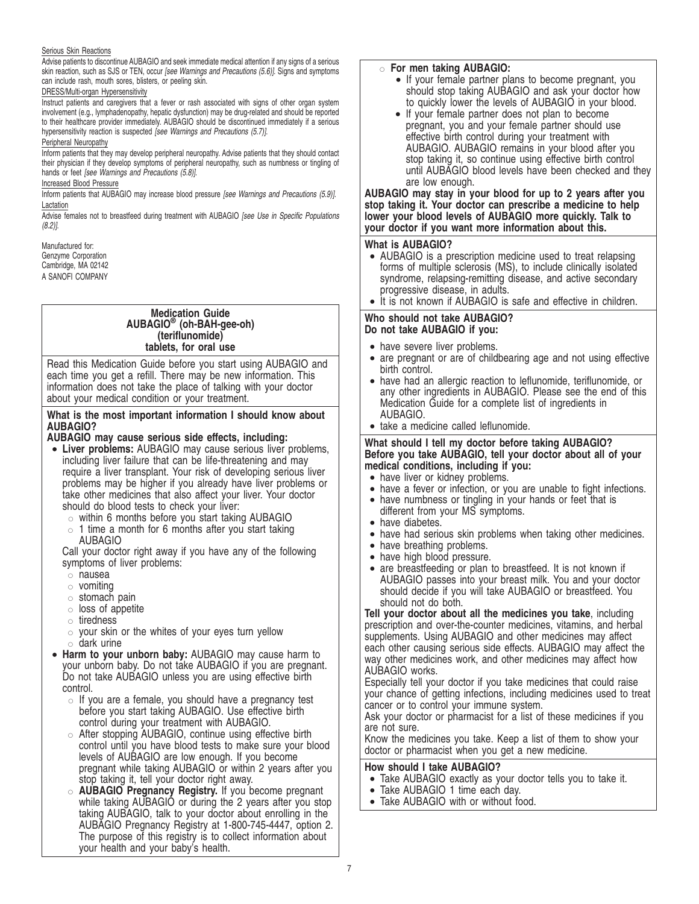### Serious Skin Reactions

Advise patients to discontinue AUBAGIO and seek immediate medical attention if any signs of a serious skin reaction, such as SJS or TEN, occur [see Warnings and Precautions (5.6)]. Signs and symptoms can include rash, mouth sores, blisters, or peeling skin.

# DRESS/Multi-organ Hypersensitivity

Instruct patients and caregivers that a fever or rash associated with signs of other organ system involvement (e.g., lymphadenopathy, hepatic dysfunction) may be drug-related and should be reported to their healthcare provider immediately. AUBAGIO should be discontinued immediately if a serious hypersensitivity reaction is suspected [see Warnings and Precautions (5.7)].

# Peripheral Neuropathy

Inform patients that they may develop peripheral neuropathy. Advise patients that they should contact their physician if they develop symptoms of peripheral neuropathy, such as numbness or tingling of hands or feet [see Warnings and Precautions (5.8)].

# Increased Blood Pressure

Inform patients that AUBAGIO may increase blood pressure [see Warnings and Precautions (5.9)]. Lactation

Advise females not to breastfeed during treatment with AUBAGIO [see Use in Specific Populations  $(8.2)$ ].

Manufactured for: Genzyme Corporation Cambridge, MA 02142 A SANOFI COMPANY

# **Medication Guide AUBAGIO® (oh-BAH-gee-oh) (teriflunomide) tablets, for oral use**

Read this Medication Guide before you start using AUBAGIO and each time you get a refill. There may be new information. This information does not take the place of talking with your doctor about your medical condition or your treatment.

# **What is the most important information I should know about AUBAGIO?**

# **AUBAGIO may cause serious side effects, including:**

- **Liver problems:** AUBAGIO may cause serious liver problems, including liver failure that can be life-threatening and may require a liver transplant. Your risk of developing serious liver problems may be higher if you already have liver problems or take other medicines that also affect your liver. Your doctor should do blood tests to check your liver:
	- $\circ$  within 6 months before you start taking AUBAGIO
	- $\circ$  1 time a month for 6 months after you start taking AUBAGIO

Call your doctor right away if you have any of the following symptoms of liver problems:

- $\circ$  nausea
- $\circ$  vomiting
- $\circ$  stomach pain
- $\circ$  loss of appetite
- o tiredness
- $\circ$  your skin or the whites of your eyes turn yellow  $\circ$  dark urine
- **Harm to your unborn baby:** AUBAGIO may cause harm to your unborn baby. Do not take AUBAGIO if you are pregnant. Do not take AUBAGIO unless you are using effective birth control.
	- $\circ$  If you are a female, you should have a pregnancy test before you start taking AUBAGIO. Use effective birth control during your treatment with AUBAGIO.
	- $\circ$  After stopping AUBAGIO, continue using effective birth control until you have blood tests to make sure your blood levels of AUBAGIO are low enough. If you become pregnant while taking AUBAGIO or within 2 years after you stop taking it, tell your doctor right away.
	- " **AUBAGIO Pregnancy Registry.** If you become pregnant while taking AUBAGIO or during the 2 years after you stop taking AUBAGIO, talk to your doctor about enrolling in the AUBAGIO Pregnancy Registry at 1-800-745-4447, option 2. The purpose of this registry is to collect information about your health and your baby's health.

# $\circ$  For men taking AUBAGIO:

- If your female partner plans to become pregnant, you should stop taking AUBAGIO and ask your doctor how to quickly lower the levels of AUBAGIO in your blood.
- If your female partner does not plan to become pregnant, you and your female partner should use effective birth control during your treatment with AUBAGIO. AUBAGIO remains in your blood after you stop taking it, so continue using effective birth control until AUBAGIO blood levels have been checked and they are low enough.

# **AUBAGIO may stay in your blood for up to 2 years after you stop taking it. Your doctor can prescribe a medicine to help lower your blood levels of AUBAGIO more quickly. Talk to your doctor if you want more information about this.**

# **What is AUBAGIO?**

- AUBAGIO is a prescription medicine used to treat relapsing forms of multiple sclerosis (MS), to include clinically isolated syndrome, relapsing-remitting disease, and active secondary progressive disease, in adults.
- It is not known if AUBAGIO is safe and effective in children.

# **Who should not take AUBAGIO? Do not take AUBAGIO if you:**

- have severe liver problems.
- are pregnant or are of childbearing age and not using effective birth control.
- have had an allergic reaction to leflunomide, teriflunomide, or any other ingredients in AUBAGIO. Please see the end of this Medication Guide for a complete list of ingredients in AUBAGIO.
- take a medicine called leflunomide.

# **What should I tell my doctor before taking AUBAGIO? Before you take AUBAGIO, tell your doctor about all of your medical conditions, including if you:**

- have liver or kidney problems.
- have a fever or infection, or you are unable to fight infections.
- have numbness or tingling in your hands or feet that is different from your MS symptoms.
- have diabetes.
- have had serious skin problems when taking other medicines.
- have breathing problems.
- have high blood pressure.
- are breastfeeding or plan to breastfeed. It is not known if AUBAGIO passes into your breast milk. You and your doctor should decide if you will take AUBAGIO or breastfeed. You should not do both.

**Tell your doctor about all the medicines you take**, including prescription and over-the-counter medicines, vitamins, and herbal supplements. Using AUBAGIO and other medicines may affect each other causing serious side effects. AUBAGIO may affect the way other medicines work, and other medicines may affect how AUBAGIO works.

Especially tell your doctor if you take medicines that could raise your chance of getting infections, including medicines used to treat cancer or to control your immune system.

Ask your doctor or pharmacist for a list of these medicines if you are not sure.

Know the medicines you take. Keep a list of them to show your doctor or pharmacist when you get a new medicine.

# **How should I take AUBAGIO?**

- Take AUBAGIO exactly as your doctor tells you to take it.
- Take AUBAGIO 1 time each day.
- Take AUBAGIO with or without food.